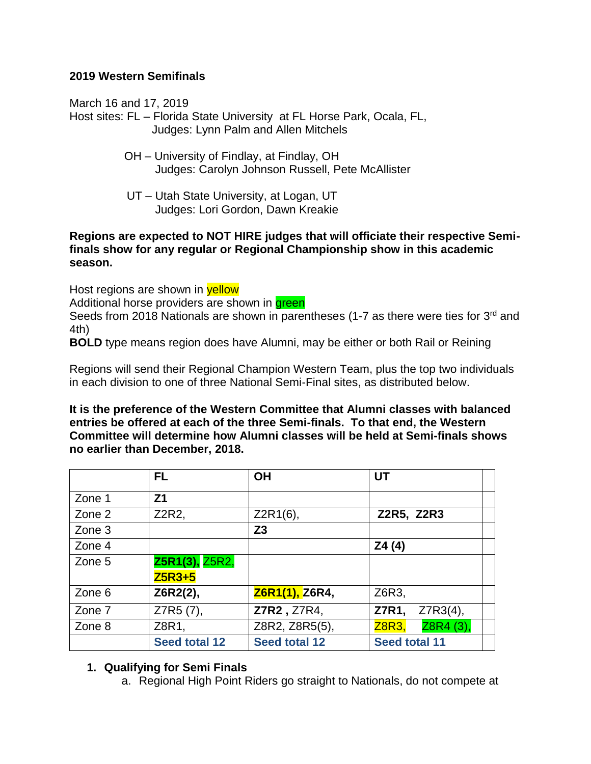## **2019 Western Semifinals**

March 16 and 17, 2019

Host sites: FL – Florida State University at FL Horse Park, Ocala, FL, Judges: Lynn Palm and Allen Mitchels

- OH University of Findlay, at Findlay, OH Judges: Carolyn Johnson Russell, Pete McAllister
- UT Utah State University, at Logan, UT Judges: Lori Gordon, Dawn Kreakie

#### **Regions are expected to NOT HIRE judges that will officiate their respective Semifinals show for any regular or Regional Championship show in this academic season.**

Host regions are shown in **yellow** 

Additional horse providers are shown in **green** 

Seeds from 2018 Nationals are shown in parentheses (1-7 as there were ties for 3<sup>rd</sup> and 4th)

**BOLD** type means region does have Alumni, may be either or both Rail or Reining

Regions will send their Regional Champion Western Team, plus the top two individuals in each division to one of three National Semi-Final sites, as distributed below.

**It is the preference of the Western Committee that Alumni classes with balanced entries be offered at each of the three Semi-finals. To that end, the Western Committee will determine how Alumni classes will be held at Semi-finals shows no earlier than December, 2018.** 

|        | FL.                   | <b>OH</b>             | UT                        |  |
|--------|-----------------------|-----------------------|---------------------------|--|
| Zone 1 | Z <sub>1</sub>        |                       |                           |  |
| Zone 2 | Z2R2,                 | $Z2R1(6)$ ,           | Z2R5, Z2R3                |  |
| Zone 3 |                       | Z <sub>3</sub>        |                           |  |
| Zone 4 |                       |                       | Z4 (4)                    |  |
| Zone 5 | <b>Z5R1(3), Z5R2,</b> |                       |                           |  |
|        | <b>Z5R3+5</b>         |                       |                           |  |
| Zone 6 | Z6R2(2),              | <b>Z6R1(1), Z6R4,</b> | Z6R3,                     |  |
| Zone 7 | Z7R5 (7),             | Z7R2, Z7R4,           | Z7R3(4),<br>Z7R1,         |  |
| Zone 8 | Z8R1,                 | Z8R2, Z8R5(5),        | Z8R4 (3),<br><b>Z8R3,</b> |  |
|        | <b>Seed total 12</b>  | Seed total 12         | <b>Seed total 11</b>      |  |

# **1. Qualifying for Semi Finals**

a. Regional High Point Riders go straight to Nationals, do not compete at